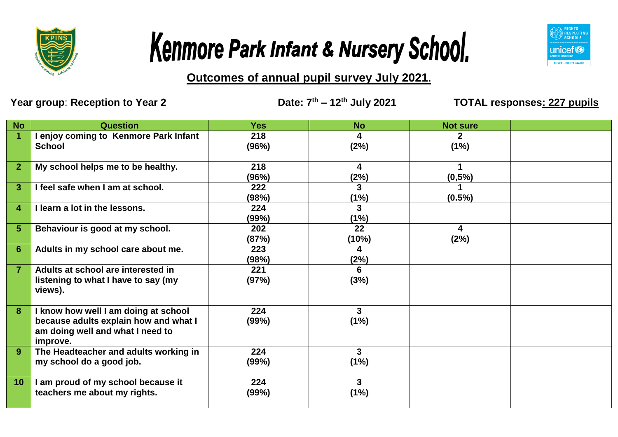





**Outcomes of annual pupil survey July 2021.**

Year group: Reception to Year 2 Date:  $7<sup>th</sup> - 12<sup>th</sup>$  July 2021

**th – 12th July 2021 TOTAL responses: 227 pupils**

| <b>No</b>       | <b>Question</b>                                                                                                               | <b>Yes</b>   | <b>No</b>              | <b>Not sure</b>      |  |
|-----------------|-------------------------------------------------------------------------------------------------------------------------------|--------------|------------------------|----------------------|--|
| $\overline{1}$  | I enjoy coming to Kenmore Park Infant<br><b>School</b>                                                                        | 218<br>(96%) | 4<br>(2%)              | $\mathbf{2}$<br>(1%) |  |
| $\overline{2}$  | My school helps me to be healthy.                                                                                             | 218<br>(96%) | 4<br>(2%)              | 1<br>(0,5%           |  |
| 3               | I feel safe when I am at school.                                                                                              | 222<br>(98%) | 3<br>(1%)              | $(0.5\%)$            |  |
| 4               | I learn a lot in the lessons.                                                                                                 | 224<br>(99%) | 3<br>(1%)              |                      |  |
| 5               | Behaviour is good at my school.                                                                                               | 202<br>(87%) | 22<br>(10%)            | 4<br>(2%)            |  |
| $6\phantom{1}6$ | Adults in my school care about me.                                                                                            | 223<br>(98%) | 4<br>(2%)              |                      |  |
| $\overline{7}$  | Adults at school are interested in<br>listening to what I have to say (my<br>views).                                          | 221<br>(97%) | 6<br>(3%)              |                      |  |
| 8               | I know how well I am doing at school<br>because adults explain how and what I<br>am doing well and what I need to<br>improve. | 224<br>(99%) | 3<br>(1%)              |                      |  |
| 9               | The Headteacher and adults working in<br>my school do a good job.                                                             | 224<br>(99%) | 3 <sup>1</sup><br>(1%) |                      |  |
| 10              | I am proud of my school because it<br>teachers me about my rights.                                                            | 224<br>(99%) | 3<br>(1%)              |                      |  |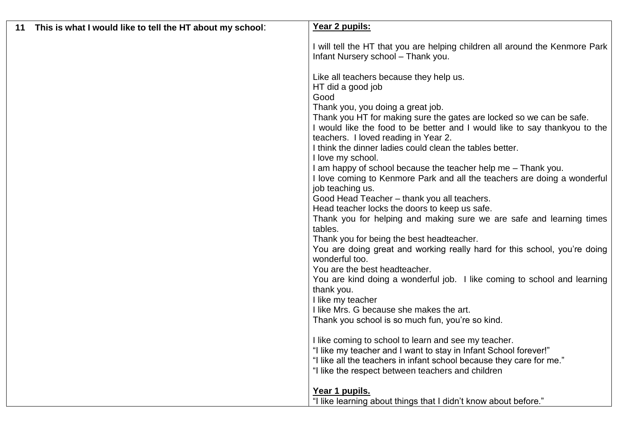| This is what I would like to tell the HT about my school:<br>11 | Year 2 pupils:                                                                                                     |
|-----------------------------------------------------------------|--------------------------------------------------------------------------------------------------------------------|
|                                                                 | I will tell the HT that you are helping children all around the Kenmore Park<br>Infant Nursery school - Thank you. |
|                                                                 | Like all teachers because they help us.                                                                            |
|                                                                 | HT did a good job                                                                                                  |
|                                                                 | Good                                                                                                               |
|                                                                 | Thank you, you doing a great job.                                                                                  |
|                                                                 | Thank you HT for making sure the gates are locked so we can be safe.                                               |
|                                                                 | I would like the food to be better and I would like to say thankyou to the                                         |
|                                                                 | teachers. I loved reading in Year 2.<br>I think the dinner ladies could clean the tables better.                   |
|                                                                 | I love my school.                                                                                                  |
|                                                                 | I am happy of school because the teacher help me - Thank you.                                                      |
|                                                                 | I love coming to Kenmore Park and all the teachers are doing a wonderful                                           |
|                                                                 | job teaching us.                                                                                                   |
|                                                                 | Good Head Teacher - thank you all teachers.                                                                        |
|                                                                 | Head teacher locks the doors to keep us safe.                                                                      |
|                                                                 | Thank you for helping and making sure we are safe and learning times<br>tables.                                    |
|                                                                 | Thank you for being the best headteacher.                                                                          |
|                                                                 | You are doing great and working really hard for this school, you're doing<br>wonderful too.                        |
|                                                                 | You are the best headteacher.                                                                                      |
|                                                                 | You are kind doing a wonderful job. I like coming to school and learning<br>thank you.                             |
|                                                                 | I like my teacher                                                                                                  |
|                                                                 | I like Mrs. G because she makes the art.                                                                           |
|                                                                 | Thank you school is so much fun, you're so kind.                                                                   |
|                                                                 | I like coming to school to learn and see my teacher.                                                               |
|                                                                 | "I like my teacher and I want to stay in Infant School forever!"                                                   |
|                                                                 | "I like all the teachers in infant school because they care for me."                                               |
|                                                                 | "I like the respect between teachers and children                                                                  |
|                                                                 | Year 1 pupils.                                                                                                     |
|                                                                 | "I like learning about things that I didn't know about before."                                                    |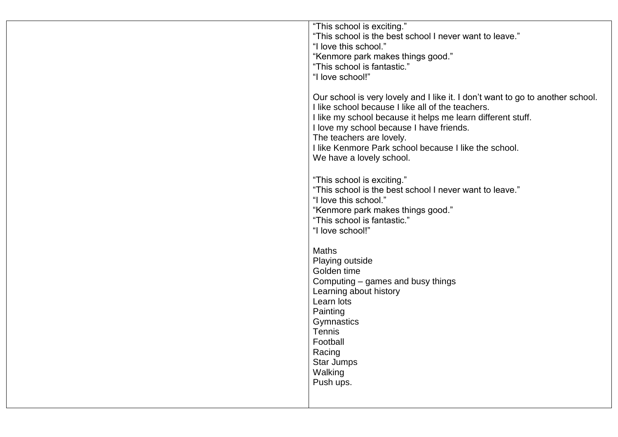| "This school is exciting."<br>"This school is the best school I never want to leave." |
|---------------------------------------------------------------------------------------|
| "I love this school."                                                                 |
| "Kenmore park makes things good."                                                     |
| "This school is fantastic."                                                           |
| "I love school!"                                                                      |
|                                                                                       |
| Our school is very lovely and I like it. I don't want to go to another school.        |
| I like school because I like all of the teachers.                                     |
| I like my school because it helps me learn different stuff.                           |
| I love my school because I have friends.                                              |
| The teachers are lovely.                                                              |
| I like Kenmore Park school because I like the school.                                 |
| We have a lovely school.                                                              |
|                                                                                       |
| "This school is exciting."                                                            |
| "This school is the best school I never want to leave."                               |
| "I love this school."                                                                 |
| "Kenmore park makes things good."                                                     |
| "This school is fantastic."                                                           |
| "I love school!"                                                                      |
|                                                                                       |
| <b>Maths</b>                                                                          |
| Playing outside                                                                       |
| Golden time                                                                           |
| Computing – games and busy things                                                     |
| Learning about history                                                                |
| Learn lots                                                                            |
| Painting                                                                              |
| Gymnastics                                                                            |
| Tennis                                                                                |
| Football                                                                              |
| Racing                                                                                |
| Star Jumps                                                                            |
| Walking                                                                               |
| Push ups.                                                                             |
|                                                                                       |
|                                                                                       |